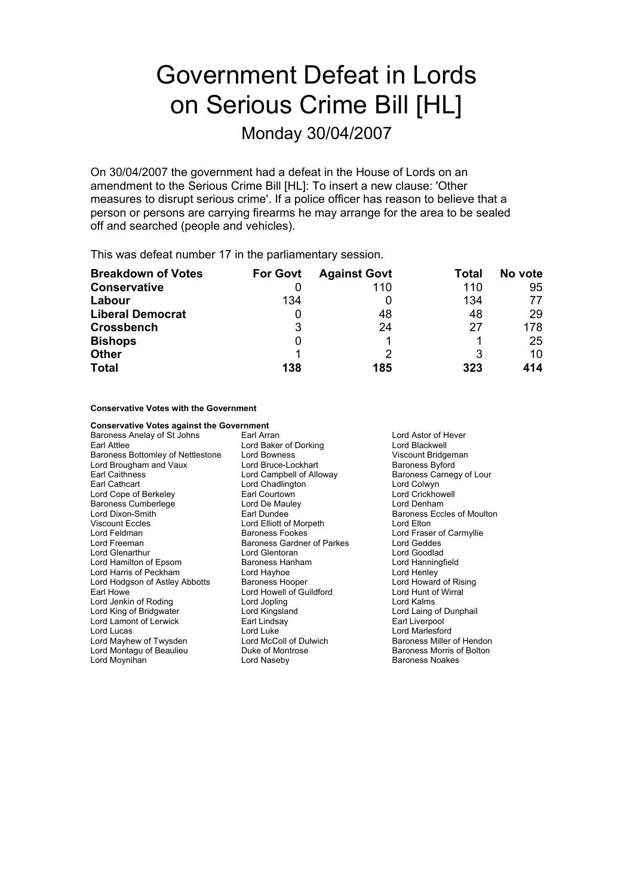# Government Defeat in Lords on Serious Crime Bill [HL]

Monday 30/04/2007

On 30/04/2007 the government had a defeat in the House of Lords on an amendment to the Serious Crime Bill [HL]: To insert a new clause: 'Other measures to disrupt serious crime'. If a police officer has reason to believe that a person or persons are carrying firearms he may arrange for the area to be sealed off and searched (people and vehicles).

This was defeat number 17 in the parliamentary session.

| <b>Breakdown of Votes</b> | <b>For Govt</b> | <b>Against Govt</b> | Total | No vote |
|---------------------------|-----------------|---------------------|-------|---------|
| <b>Conservative</b>       |                 | 110                 | 110   | 95      |
| Labour                    | 134             |                     | 134   | 77      |
| <b>Liberal Democrat</b>   | 0               | 48                  | 48    | 29      |
| <b>Crossbench</b>         | 3               | 24                  | 27    | 178     |
| <b>Bishops</b>            | 0               |                     |       | 25      |
| <b>Other</b>              |                 |                     | 3     | 10      |
| <b>Total</b>              | 138             | 185                 | 323   | 414     |

**Conservative Votes with the Government**

| <b>Conservative Votes against the Government</b> |                            |                            |
|--------------------------------------------------|----------------------------|----------------------------|
| Baroness Anelay of St Johns                      | Earl Arran                 | Lord Astor of Hever        |
| Earl Attlee                                      | Lord Baker of Dorking      | Lord Blackwell             |
| Baroness Bottomley of Nettlestone                | Lord Bowness               | Viscount Bridgeman         |
| Lord Brougham and Vaux                           | Lord Bruce-Lockhart        | <b>Baroness Byford</b>     |
| <b>Earl Caithness</b>                            | Lord Campbell of Alloway   | Baroness Carnegy of Lour   |
| Earl Cathcart                                    | Lord Chadlington           | Lord Colwyn                |
| Lord Cope of Berkeley                            | Earl Courtown              | <b>Lord Crickhowell</b>    |
| <b>Baroness Cumberlege</b>                       | Lord De Mauley             | Lord Denham                |
| Lord Dixon-Smith                                 | Earl Dundee                | Baroness Eccles of Moulton |
| <b>Viscount Eccles</b>                           | Lord Elliott of Morpeth    | Lord Elton                 |
| Lord Feldman                                     | <b>Baroness Fookes</b>     | Lord Fraser of Carmyllie   |
| Lord Freeman                                     | Baroness Gardner of Parkes | Lord Geddes                |
| Lord Glenarthur                                  | Lord Glentoran             | Lord Goodlad               |
| Lord Hamilton of Epsom                           | Baroness Hanham            | Lord Hanningfield          |
| Lord Harris of Peckham                           | Lord Hayhoe                | Lord Henley                |
| Lord Hodgson of Astley Abbotts                   | <b>Baroness Hooper</b>     | Lord Howard of Rising      |
| Earl Howe                                        | Lord Howell of Guildford   | Lord Hunt of Wirral        |
| Lord Jenkin of Roding                            | Lord Jopling               | Lord Kalms                 |
| Lord King of Bridgwater                          | Lord Kingsland             | Lord Laing of Dunphail     |
| Lord Lamont of Lerwick                           | Earl Lindsay               | Earl Liverpool             |
| Lord Lucas                                       | Lord Luke                  | Lord Marlesford            |
| Lord Mayhew of Twysden                           | Lord McColl of Dulwich     | Baroness Miller of Hendon  |
| Lord Montagu of Beaulieu                         | Duke of Montrose           | Baroness Morris of Bolton  |
| Lord Moynihan                                    | Lord Naseby                | <b>Baroness Noakes</b>     |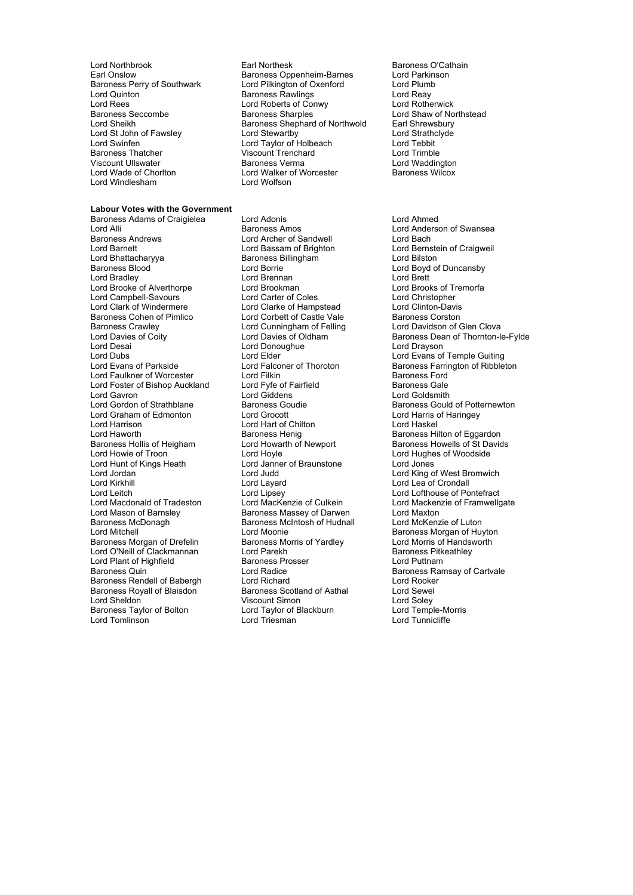Lord Rees<br>Baroness Seccombe Conness Sharoles **Lord Windlesham** 

### **Labour Votes with the Government**

Lord Alli **Example 20 Extraches Amos** Baroness Amos **Lord Anderson of Swansea**<br>Baroness Andrews **Lord Anderson Corporation** Lord Bach Lord Bach Baroness Andrews **Lord Archer of Sandwell**<br>
Lord Barnett<br>
Lord Bassam of Brighton Lord Barnett Lord Bassam of Brighton Lord Bernstein of Craigweil Baroness Blood Christian Lord Borrie Christian Lord Boyd of Duncansby<br>
Lord Bread Lord Borrie Lord Borrie Lord Borrie Lord Brett Lord Brett Lord Brett Lord Brett Lord Brett Lord B Lord Bradley Lord Brennan Lord Brett Lord Brooke of Alverthorpe Lord Brookman Lord Brooks of Translational Lord Brooks of Tremorfacture Corpus Lord Christopher<br>
Lord Campbell-Savours Lord Carter of Coles Lord Campbell-Savours 
Lord Carter of Coles
Lord Clark Conduction-Davis
Lord Clark Conduction-Davis
Lord Clarke of Hampstead
Lord Clark Conduction-Davis
Lord Clark Conduction-Davis
Lord Clark Conduction-Davis
Lord Clark Co Lord Clark of Windermere **Lord Clarke of Hampstead** Lord Clinton-Davis<br>Baroness Cohen of Pimlico **Lord Corbett of Castle Vale** Baroness Corston Baroness Cohen of Pimlico Lord Corbett of Castle Vale<br>Baroness Crawley Lord Cunningham of Felling Baroness Crawley **Lord Cunningham of Felling Clove Clove Lord Davidson of Glen Clova**<br>
Lord Davies of Coity Lord Davies of Oldham **Baroness Dean of Thornton-I** Lord Desai **Lord Donoughue**<br>
Lord Dubs<br>
Lord Fider Lord Dubs<br>
Lord Evans of Parkside Lord Elder Lord Elder Lord Evans of Temple Guiting<br>
Lord Evans of Parkside Lord Falconer of Thoroton Baroness Farrington of Ribblet Lord Faulkner of Worcester Lord Filkin Lord Faulting and Baroness Ford<br>
Lord Foster of Bishop Auckland Lord Fyfe of Fairfield Caroness Gale Lord Foster of Bishop Auckland Lord Fyfe of F<br>Lord Gavron Lord Giddens Lord Gavron Lord Giddens Lord Giddens Lord Goldsmith<br>
Lord Gordon of Strathblane Baroness Goudie Baroness Gould Lord Graham of Edmonton Lord Grocott Lord Grocott Lord Harris of Chilton Cord Harris of Lord Harris of Lord Haskel Lord Harrison Lord Hart of Chilton<br>
Lord Haworth **Baroness Henig** Baroness Hollis of Heigham Lord Howarth of Newport Baroness Howells of St Davids<br>
Lord Howie of Troon Lord Hoyle Cord Hovels and Baroness Howells of Woodside Lord Howie of Troon **Lord Hoyle** Lord Hoyle **Lord Hughes of Woodside**<br>
Lord Hunt of Kings Heath **Lord Janner of Braunstone** Lord Jones Lord Jordan Lord Judd Lord King of West Bromwich Lord Kirkhill Lord Layard Lord Lea of Crondall Lord Leitch Lord Lord Lipsey<br>
Lord Mackenzie of Culkein Lord Mackenzie of Lord Mackenzie of Framwellow Lord Mason of Barnsley **Communist State Baroness Massey of Darwen** Lord Maxton<br>
Baroness McDonagh **Communist Communist Communist Communist Communist Communist Communist Communist Communist C** Baroness McDonagh Baroness McIntosh of Hudnall<br>
Lord Mitchell Lord Moonie Baroness Morgan of Drefelin Baroness Morris of Yardley Lord Morris of Handsworth Cord C'Neill of Clackmannan Lord Parekh Lord O'Neill of Clackmannan Lord Plant of Highfield **Baroness Prosser** Cord Puttnam Baroness Quin<br>
Baroness Quin Cord Radice Cord Radice Corporation Baroness Rar Baroness Rendell of Babergh Lord Richard<br>Baroness Royall of Blaisdon Baroness Scotland of Asthal Lord Sewel Baroness Royall of Blaisdon a Baroness Scotland of Asthal Lord Sewel<br>Lord Sheldon a Lord Solev Viscount Simon Baroness Taylor of Bolton Lord Taylor of I<br>
Lord Tomlinson Lord Triesman

Lord Northbr ok o Earl Northesk Baroness O'Cathain Earoness Oppenheim-Barnes Lord Parkins<br>
Lord Pilkington of Oxenford Lord Plumb Baroness Perry of Southwark Lord Pilkington of Oxenford Lord Plumb<br>
Lord Quinton Cord Reavist Baroness Rawlings Lord Reav Lord Quinton **Carolings** Baroness Rawlings **Lord Reay**<br>
Lord Rees **Lord Roberts of Conwy** Lord Rotherwick Baroness Seccombe Baroness Sharples Lord Shaw of Northstead<br>Lord Sheikh Baroness Shephard of Northwold Earl Shrewsbury Baroness Shephard of Northwold<br>
Lord Stewarthy<br>
Lord Strathclyde<br>
Lord Strathclyde Lord St John of Fawsley **Lord Stewartby** Lord Strathcland Strathcland Strathcland Lord Strathcland Lord Tebbit Lord Swinfen Lord Taylor of Holbeach Lord Tebbit Viscount Trenchard<br>Baroness Verma Lord Waddington Viscount Ullswater **Baroness Verma** Lord Waddington<br>
Lord Wade of Chorlton **Baroness Lord Walker of Worcester** Baroness Wilcox Lord Walker of Worcester<br>Lord Wolfson

Baroness Adams of Craigielea Lord Adonis Lord Anned Baroness Billingham **Baroness Billingham** Lord Bilston Lord Janner of Braunstone Lord Moonie **Baroness Morgan of Huyton**<br>
Baroness Morgan of Huyton<br>
Baroness Morgan of Huyton<br>
Lord Morris of Handsworth Viscount Simon Contraction Lord Soley<br>
Lord Taylor of Blackburn Lord Temple-Morris

Lord Davies of Coity **Lord Davies of Oldham** Baroness Dean of Thornton-le-Fylde<br>
Lord Dean Lord Donoughue<br>
Lord Dravson Baroness Farrington of Ribbleton Baroness Goudie Baroness Gould of Potternewton<br>
Lord Grocott<br>
Lord Harris of Haringey Baroness Hilton of Eggardon Lord Mackenzie of Framwellgate Lord Radice **Baroness Ramsay of Cartvale** Lord Tunnicliffe